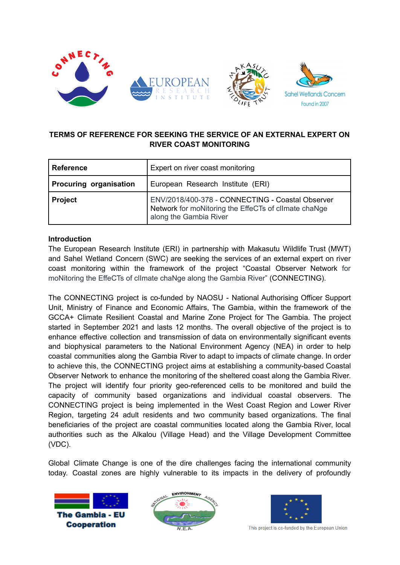

# **TERMS OF REFERENCE FOR SEEKING THE SERVICE OF AN EXTERNAL EXPERT ON RIVER COAST MONITORING**

| <b>Reference</b>              | Expert on river coast monitoring                                                                                                   |  |
|-------------------------------|------------------------------------------------------------------------------------------------------------------------------------|--|
| <b>Procuring organisation</b> | European Research Institute (ERI)                                                                                                  |  |
| <b>Project</b>                | ENV/2018/400-378 - CONNECTING - Coastal Observer<br>Network for moNitoring the EffeCTs of climate chaNge<br>along the Gambia River |  |

### **Introduction**

The European Research Institute (ERI) in partnership with Makasutu Wildlife Trust (MWT) and Sahel Wetland Concern (SWC) are seeking the services of an external expert on river coast monitoring within the framework of the project "Coastal Observer Network for moNitoring the EffeCTs of clImate chaNge along the Gambia River" (CONNECTING).

The CONNECTING project is co-funded by NAOSU - National Authorising Officer Support Unit, Ministry of Finance and Economic Affairs, The Gambia, within the framework of the GCCA+ Climate Resilient Coastal and Marine Zone Project for The Gambia. The project started in September 2021 and lasts 12 months. The overall objective of the project is to enhance effective collection and transmission of data on environmentally significant events and biophysical parameters to the National Environment Agency (NEA) in order to help coastal communities along the Gambia River to adapt to impacts of climate change. In order to achieve this, the CONNECTING project aims at establishing a community-based Coastal Observer Network to enhance the monitoring of the sheltered coast along the Gambia River. The project will identify four priority geo-referenced cells to be monitored and build the capacity of community based organizations and individual coastal observers. The CONNECTING project is being implemented in the West Coast Region and Lower River Region, targeting 24 adult residents and two community based organizations. The final beneficiaries of the project are coastal communities located along the Gambia River, local authorities such as the Alkalou (Village Head) and the Village Development Committee (VDC).

Global Climate Change is one of the dire challenges facing the international community today. Coastal zones are highly vulnerable to its impacts in the delivery of profoundly







This project is co-funded by the European Union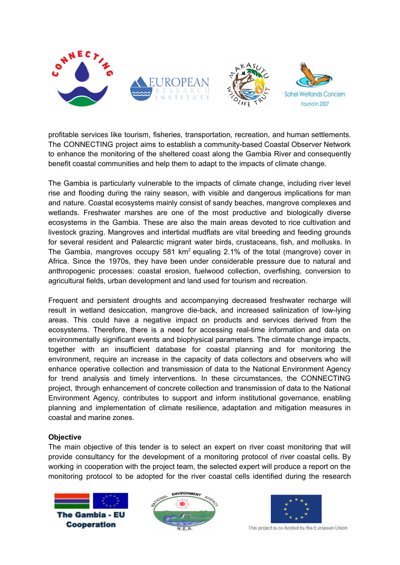

profitable services like tourism, fisheries, transportation, recreation, and human settlements. The CONNECTING project aims to establish a community-based Coastal Observer Network to enhance the monitoring of the sheltered coast along the Gambia River and consequently benefit coastal communities and help them to adapt to the impacts of climate change.

The Gambia is particularly vulnerable to the impacts of climate change, including river level rise and flooding during the rainy season, with visible and dangerous implications for man and nature. Coastal ecosystems mainly consist of sandy beaches, mangrove complexes and wetlands. Freshwater marshes are one of the most productive and biologically diverse ecosystems in the Gambia. These are also the main areas devoted to rice cultivation and livestock grazing. Mangroves and intertidal mudflats are vital breeding and feeding grounds for several resident and Palearctic migrant water birds, crustaceans, fish, and mollusks. In The Gambia, mangroves occupy 581  $km^2$  equaling 2.1% of the total (mangrove) cover in Africa. Since the 1970s, they have been under considerable pressure due to natural and anthropogenic processes: coastal erosion, fuelwood collection, overfishing, conversion to agricultural fields, urban development and land used for tourism and recreation.

Frequent and persistent droughts and accompanying decreased freshwater recharge will result in wetland desiccation, mangrove die-back, and increased salinization of low-lying areas. This could have a negative impact on products and services derived from the ecosystems. Therefore, there is a need for accessing real-time information and data on environmentally significant events and biophysical parameters. The climate change impacts, together with an insufficient database for coastal planning and for monitoring the environment, require an increase in the capacity of data collectors and observers who will enhance operative collection and transmission of data to the National Environment Agency for trend analysis and timely interventions. In these circumstances, the CONNECTING project, through enhancement of concrete collection and transmission of data to the National Environment Agency, contributes to support and inform institutional governance, enabling planning and implementation of climate resilience, adaptation and mitigation measures in coastal and marine zones.

### **Objective**

The main objective of this tender is to select an expert on river coast monitoring that will provide consultancy for the development of a monitoring protocol of river coastal cells. By working in cooperation with the project team, the selected expert will produce a report on the monitoring protocol to be adopted for the river coastal cells identified during the research







This project is co-funded by the European Union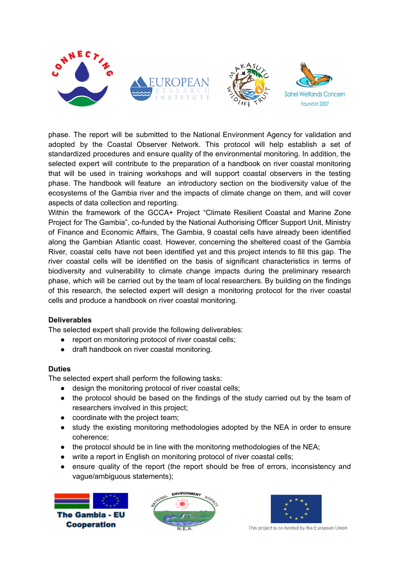

phase. The report will be submitted to the National Environment Agency for validation and adopted by the Coastal Observer Network. This protocol will help establish a set of standardized procedures and ensure quality of the environmental monitoring. In addition, the selected expert will contribute to the preparation of a handbook on river coastal monitoring that will be used in training workshops and will support coastal observers in the testing phase. The handbook will feature an introductory section on the biodiversity value of the ecosystems of the Gambia river and the impacts of climate change on them, and will cover aspects of data collection and reporting.

Within the framework of the GCCA+ Project "Climate Resilient Coastal and Marine Zone Project for The Gambia", co-funded by the National Authorising Officer Support Unit, Ministry of Finance and Economic Affairs, The Gambia, 9 coastal cells have already been identified along the Gambian Atlantic coast. However, concerning the sheltered coast of the Gambia River, coastal cells have not been identified yet and this project intends to fill this gap. The river coastal cells will be identified on the basis of significant characteristics in terms of biodiversity and vulnerability to climate change impacts during the preliminary research phase, which will be carried out by the team of local researchers. By building on the findings of this research, the selected expert will design a monitoring protocol for the river coastal cells and produce a handbook on river coastal monitoring.

### **Deliverables**

The selected expert shall provide the following deliverables:

- report on monitoring protocol of river coastal cells;
- draft handbook on river coastal monitoring.

### **Duties**

The selected expert shall perform the following tasks:

- design the monitoring protocol of river coastal cells;
- the protocol should be based on the findings of the study carried out by the team of researchers involved in this project;
- coordinate with the project team;
- study the existing monitoring methodologies adopted by the NEA in order to ensure coherence;
- the protocol should be in line with the monitoring methodologies of the NEA:
- write a report in English on monitoring protocol of river coastal cells;
- ensure quality of the report (the report should be free of errors, inconsistency and vague/ambiguous statements);







This project is co-funded by the European Union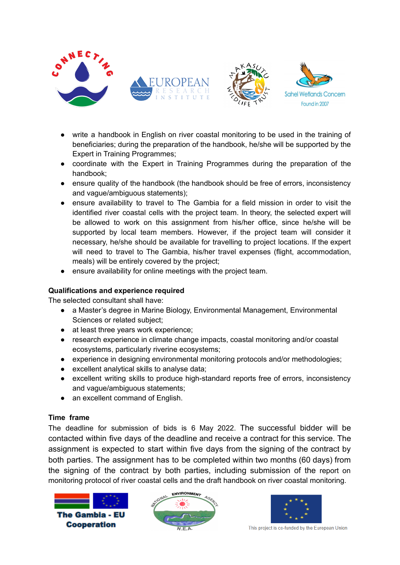

- write a handbook in English on river coastal monitoring to be used in the training of beneficiaries; during the preparation of the handbook, he/she will be supported by the Expert in Training Programmes;
- coordinate with the Expert in Training Programmes during the preparation of the handbook;
- ensure quality of the handbook (the handbook should be free of errors, inconsistency and vague/ambiguous statements);
- ensure availability to travel to The Gambia for a field mission in order to visit the identified river coastal cells with the project team. In theory, the selected expert will be allowed to work on this assignment from his/her office, since he/she will be supported by local team members. However, if the project team will consider it necessary, he/she should be available for travelling to project locations. If the expert will need to travel to The Gambia, his/her travel expenses (flight, accommodation, meals) will be entirely covered by the project;
- ensure availability for online meetings with the project team.

## **Qualifications and experience required**

The selected consultant shall have:

- a Master's degree in Marine Biology, Environmental Management, Environmental Sciences or related subject;
- at least three years work experience;
- research experience in climate change impacts, coastal monitoring and/or coastal ecosystems, particularly riverine ecosystems;
- experience in designing environmental monitoring protocols and/or methodologies;
- excellent analytical skills to analyse data;
- excellent writing skills to produce high-standard reports free of errors, inconsistency and vague/ambiguous statements;
- an excellent command of English.

### **Time frame**

The deadline for submission of bids is 6 May 2022. The successful bidder will be contacted within five days of the deadline and receive a contract for this service. The assignment is expected to start within five days from the signing of the contract by both parties. The assignment has to be completed within two months (60 days) from the signing of the contract by both parties, including submission of the report on monitoring protocol of river coastal cells and the draft handbook on river coastal monitoring.







This project is co-funded by the European Union